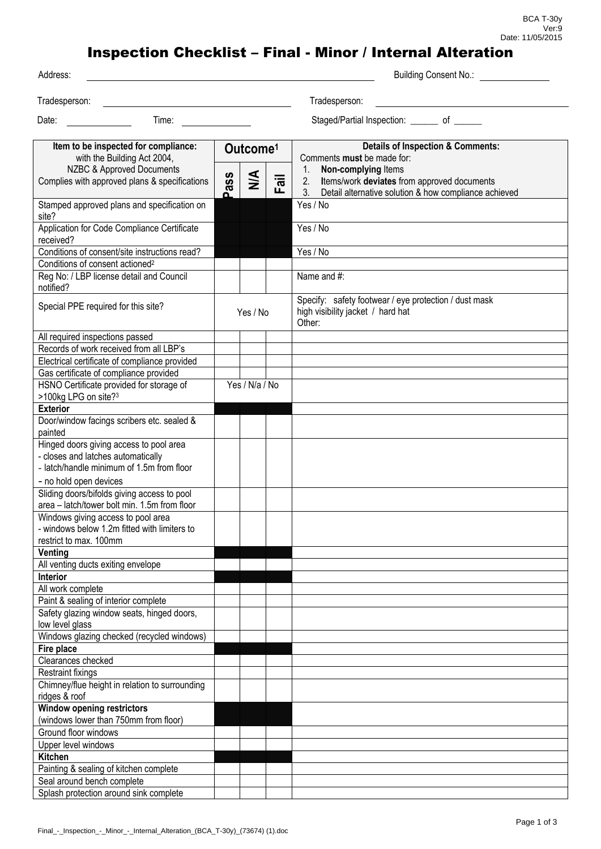BCA T-30y Ver:9 Date: 11/05/2015

## Inspection Checklist – Final - Minor / Internal Alteration

| Address:                                                                                                                   |                      |                |      | <b>Building Consent No.:</b>                                                                                                            |
|----------------------------------------------------------------------------------------------------------------------------|----------------------|----------------|------|-----------------------------------------------------------------------------------------------------------------------------------------|
| Tradesperson:                                                                                                              |                      |                |      | Tradesperson:                                                                                                                           |
|                                                                                                                            |                      |                |      |                                                                                                                                         |
| Date:<br>Time:                                                                                                             |                      |                |      | Staged/Partial Inspection: _______ of ______                                                                                            |
| Item to be inspected for compliance:<br>with the Building Act 2004,                                                        | Outcome <sup>1</sup> |                |      | <b>Details of Inspection &amp; Comments:</b><br>Comments must be made for:                                                              |
| NZBC & Approved Documents<br>Complies with approved plans & specifications                                                 | ass<br>മ             | $\frac{4}{5}$  | Fail | Non-complying Items<br>1.<br>Items/work deviates from approved documents<br>2.<br>Detail alternative solution & how compliance achieved |
| Stamped approved plans and specification on<br>site?                                                                       |                      |                |      | Yes / No                                                                                                                                |
| Application for Code Compliance Certificate<br>received?                                                                   |                      |                |      | Yes / No                                                                                                                                |
| Conditions of consent/site instructions read?                                                                              |                      |                |      | Yes / No                                                                                                                                |
| Conditions of consent actioned <sup>2</sup>                                                                                |                      |                |      |                                                                                                                                         |
| Reg No: / LBP license detail and Council<br>notified?                                                                      |                      |                |      | Name and #:                                                                                                                             |
| Special PPE required for this site?                                                                                        | Yes / No             |                |      | Specify: safety footwear / eye protection / dust mask<br>high visibility jacket / hard hat<br>Other:                                    |
| All required inspections passed<br>Records of work received from all LBP's                                                 |                      |                |      |                                                                                                                                         |
| Electrical certificate of compliance provided                                                                              |                      |                |      |                                                                                                                                         |
| Gas certificate of compliance provided                                                                                     |                      |                |      |                                                                                                                                         |
| HSNO Certificate provided for storage of<br>>100kg LPG on site? <sup>3</sup>                                               |                      | Yes / N/a / No |      |                                                                                                                                         |
| <b>Exterior</b>                                                                                                            |                      |                |      |                                                                                                                                         |
| Door/window facings scribers etc. sealed &<br>painted                                                                      |                      |                |      |                                                                                                                                         |
| Hinged doors giving access to pool area<br>- closes and latches automatically<br>- latch/handle minimum of 1.5m from floor |                      |                |      |                                                                                                                                         |
| - no hold open devices<br>Sliding doors/bifolds giving access to pool<br>area - latch/tower bolt min. 1.5m from floor      |                      |                |      |                                                                                                                                         |
| Windows giving access to pool area<br>- windows below 1.2m fitted with limiters to<br>restrict to max. 100mm               |                      |                |      |                                                                                                                                         |
| Venting                                                                                                                    |                      |                |      |                                                                                                                                         |
| All venting ducts exiting envelope                                                                                         |                      |                |      |                                                                                                                                         |
| Interior                                                                                                                   |                      |                |      |                                                                                                                                         |
| All work complete<br>Paint & sealing of interior complete                                                                  |                      |                |      |                                                                                                                                         |
| Safety glazing window seats, hinged doors,<br>low level glass                                                              |                      |                |      |                                                                                                                                         |
| Windows glazing checked (recycled windows)                                                                                 |                      |                |      |                                                                                                                                         |
| Fire place                                                                                                                 |                      |                |      |                                                                                                                                         |
| Clearances checked                                                                                                         |                      |                |      |                                                                                                                                         |
| <b>Restraint fixings</b>                                                                                                   |                      |                |      |                                                                                                                                         |
| Chimney/flue height in relation to surrounding<br>ridges & roof                                                            |                      |                |      |                                                                                                                                         |
| <b>Window opening restrictors</b>                                                                                          |                      |                |      |                                                                                                                                         |
| (windows lower than 750mm from floor)                                                                                      |                      |                |      |                                                                                                                                         |
| Ground floor windows                                                                                                       |                      |                |      |                                                                                                                                         |
| Upper level windows                                                                                                        |                      |                |      |                                                                                                                                         |
| <b>Kitchen</b><br>Painting & sealing of kitchen complete                                                                   |                      |                |      |                                                                                                                                         |
| Seal around bench complete                                                                                                 |                      |                |      |                                                                                                                                         |
| Splash protection around sink complete                                                                                     |                      |                |      |                                                                                                                                         |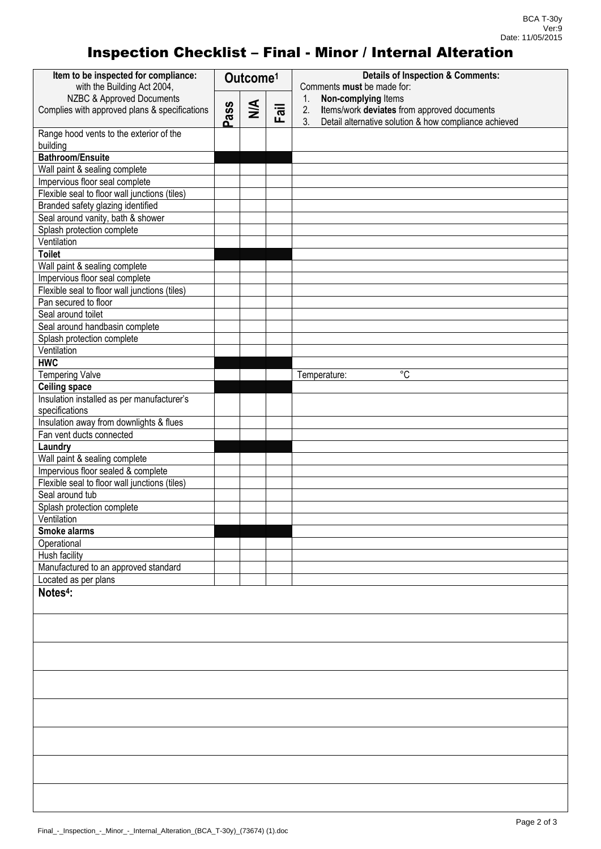## Inspection Checklist – Final - Minor / Internal Alteration

| Item to be inspected for compliance:<br>with the Building Act 2004,    |          | Outcome <sup>1</sup> |      | <b>Details of Inspection &amp; Comments:</b><br>Comments must be made for:                                                   |
|------------------------------------------------------------------------|----------|----------------------|------|------------------------------------------------------------------------------------------------------------------------------|
| NZBC & Approved Documents                                              |          |                      |      | Non-complying Items<br>1.                                                                                                    |
| Complies with approved plans & specifications                          | ass<br>മ | $\leq$               | Fail | Items/work deviates from approved documents<br>2.<br>3 <sub>1</sub><br>Detail alternative solution & how compliance achieved |
| Range hood vents to the exterior of the                                |          |                      |      |                                                                                                                              |
| building<br><b>Bathroom/Ensuite</b>                                    |          |                      |      |                                                                                                                              |
| Wall paint & sealing complete                                          |          |                      |      |                                                                                                                              |
| Impervious floor seal complete                                         |          |                      |      |                                                                                                                              |
| Flexible seal to floor wall junctions (tiles)                          |          |                      |      |                                                                                                                              |
|                                                                        |          |                      |      |                                                                                                                              |
| Branded safety glazing identified<br>Seal around vanity, bath & shower |          |                      |      |                                                                                                                              |
|                                                                        |          |                      |      |                                                                                                                              |
| Splash protection complete<br>Ventilation                              |          |                      |      |                                                                                                                              |
| <b>Toilet</b>                                                          |          |                      |      |                                                                                                                              |
| Wall paint & sealing complete                                          |          |                      |      |                                                                                                                              |
| Impervious floor seal complete                                         |          |                      |      |                                                                                                                              |
| Flexible seal to floor wall junctions (tiles)                          |          |                      |      |                                                                                                                              |
| Pan secured to floor                                                   |          |                      |      |                                                                                                                              |
| Seal around toilet                                                     |          |                      |      |                                                                                                                              |
| Seal around handbasin complete                                         |          |                      |      |                                                                                                                              |
| Splash protection complete                                             |          |                      |      |                                                                                                                              |
| Ventilation                                                            |          |                      |      |                                                                                                                              |
| <b>HWC</b>                                                             |          |                      |      |                                                                                                                              |
| <b>Tempering Valve</b>                                                 |          |                      |      | $^{\circ}C$<br>Temperature:                                                                                                  |
| <b>Ceiling space</b>                                                   |          |                      |      |                                                                                                                              |
| Insulation installed as per manufacturer's                             |          |                      |      |                                                                                                                              |
| specifications                                                         |          |                      |      |                                                                                                                              |
| Insulation away from downlights & flues                                |          |                      |      |                                                                                                                              |
| Fan vent ducts connected                                               |          |                      |      |                                                                                                                              |
| Laundry                                                                |          |                      |      |                                                                                                                              |
| Wall paint & sealing complete                                          |          |                      |      |                                                                                                                              |
| Impervious floor sealed & complete                                     |          |                      |      |                                                                                                                              |
| Flexible seal to floor wall junctions (tiles)                          |          |                      |      |                                                                                                                              |
| Seal around tub                                                        |          |                      |      |                                                                                                                              |
| Splash protection complete                                             |          |                      |      |                                                                                                                              |
| Ventilation                                                            |          |                      |      |                                                                                                                              |
| Smoke alarms                                                           |          |                      |      |                                                                                                                              |
| Operational                                                            |          |                      |      |                                                                                                                              |
| Hush facility                                                          |          |                      |      |                                                                                                                              |
| Manufactured to an approved standard                                   |          |                      |      |                                                                                                                              |
| Located as per plans                                                   |          |                      |      |                                                                                                                              |
| Notes <sup>4</sup> :                                                   |          |                      |      |                                                                                                                              |
|                                                                        |          |                      |      |                                                                                                                              |
|                                                                        |          |                      |      |                                                                                                                              |
|                                                                        |          |                      |      |                                                                                                                              |
|                                                                        |          |                      |      |                                                                                                                              |
|                                                                        |          |                      |      |                                                                                                                              |
|                                                                        |          |                      |      |                                                                                                                              |
|                                                                        |          |                      |      |                                                                                                                              |
|                                                                        |          |                      |      |                                                                                                                              |
|                                                                        |          |                      |      |                                                                                                                              |
|                                                                        |          |                      |      |                                                                                                                              |
|                                                                        |          |                      |      |                                                                                                                              |
|                                                                        |          |                      |      |                                                                                                                              |
|                                                                        |          |                      |      |                                                                                                                              |
|                                                                        |          |                      |      |                                                                                                                              |
|                                                                        |          |                      |      |                                                                                                                              |
|                                                                        |          |                      |      |                                                                                                                              |